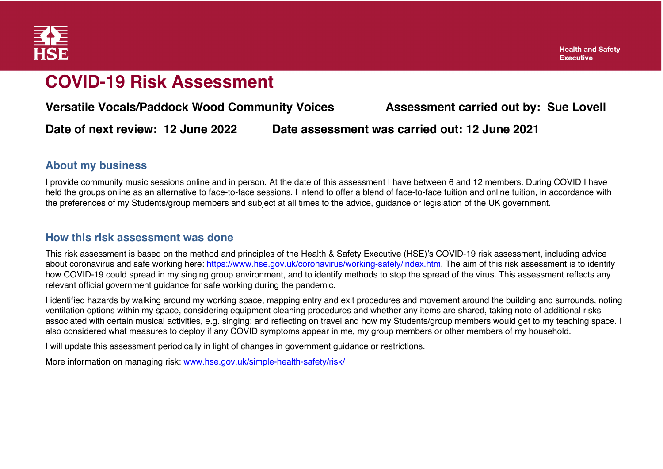

#### **COVID-19 Risk Assessment**

**Versatile Vocals/Paddock Wood Community Voices Assessment carried out by: Sue Lovell**

**Date of next review: 12 June 2022 Date assessment was carried out: 12 June 2021**

#### **About my business**

I provide community music sessions online and in person. At the date of this assessment I have between 6 and 12 members. During COVID I have held the groups online as an alternative to face-to-face sessions. I intend to offer a blend of face-to-face tuition and online tuition, in accordance with the preferences of my Students/group members and subject at all times to the advice, guidance or legislation of the UK government.

#### **How this risk assessment was done**

This risk assessment is based on the method and principles of the Health & Safety Executive (HSE)'s COVID-19 risk assessment, including advice about coronavirus and safe working here: https://www.hse.gov.uk/coronavirus/working-safely/index.htm. The aim of this risk assessment is to identify how COVID-19 could spread in my singing group environment, and to identify methods to stop the spread of the virus. This assessment reflects any relevant official government guidance for safe working during the pandemic.

I identified hazards by walking around my working space, mapping entry and exit procedures and movement around the building and surrounds, noting ventilation options within my space, considering equipment cleaning procedures and whether any items are shared, taking note of additional risks associated with certain musical activities, e.g. singing; and reflecting on travel and how my Students/group members would get to my teaching space. I also considered what measures to deploy if any COVID symptoms appear in me, my group members or other members of my household.

I will update this assessment periodically in light of changes in government guidance or restrictions.

More information on managing risk: www.hse.gov.uk/simple-health-safety/risk/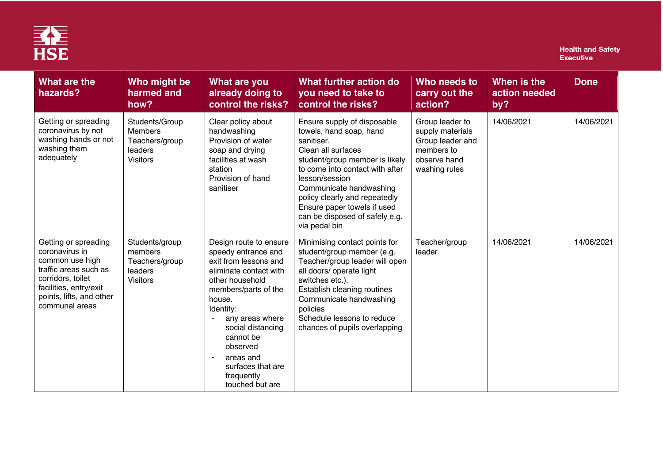

| What are the<br>hazards?                                                                                                                                                        | Who might be<br>harmed and<br>how?                                               | What are you<br>already doing to<br>control the risks?                                                                                                                                                                                                                                                 | What further action do<br>you need to take to<br>control the risks?                                                                                                                                                                                                                                                             | Who needs to<br>carry out the<br>action?                                                               | When is the<br>action needed<br>by? | <b>Done</b> |
|---------------------------------------------------------------------------------------------------------------------------------------------------------------------------------|----------------------------------------------------------------------------------|--------------------------------------------------------------------------------------------------------------------------------------------------------------------------------------------------------------------------------------------------------------------------------------------------------|---------------------------------------------------------------------------------------------------------------------------------------------------------------------------------------------------------------------------------------------------------------------------------------------------------------------------------|--------------------------------------------------------------------------------------------------------|-------------------------------------|-------------|
| Getting or spreading<br>coronavirus by not<br>washing hands or not<br>washing them<br>adequately                                                                                | Students/Group<br><b>Members</b><br>Teachers/group<br>leaders<br><b>Visitors</b> | Clear policy about<br>handwashing<br>Provision of water<br>soap and drying<br>facilities at wash<br>station<br>Provision of hand<br>sanitiser                                                                                                                                                          | Ensure supply of disposable<br>towels, hand soap, hand<br>sanitiser.<br>Clean all surfaces<br>student/group member is likely<br>to come into contact with after<br>lesson/session<br>Communicate handwashing<br>policy clearly and repeatedly<br>Ensure paper towels if used<br>can be disposed of safely e.g.<br>via pedal bin | Group leader to<br>supply materials<br>Group leader and<br>members to<br>observe hand<br>washing rules | 14/06/2021                          | 14/06/2021  |
| Getting or spreading<br>coronavirus in<br>common use high<br>traffic areas such as<br>corridors, toilet<br>facilities, entry/exit<br>points, lifts, and other<br>communal areas | Students/group<br>members<br>Teachers/group<br>leaders<br><b>Visitors</b>        | Design route to ensure<br>speedy entrance and<br>exit from lessons and<br>eliminate contact with<br>other household<br>members/parts of the<br>house.<br>Identify:<br>any areas where<br>social distancing<br>cannot be<br>observed<br>areas and<br>surfaces that are<br>frequently<br>touched but are | Minimising contact points for<br>student/group member (e.g.<br>Teacher/group leader will open<br>all doors/ operate light<br>switches etc.).<br>Establish cleaning routines<br>Communicate handwashing<br>policies<br>Schedule lessons to reduce<br>chances of pupils overlapping                                               | Teacher/group<br>leader                                                                                | 14/06/2021                          | 14/06/2021  |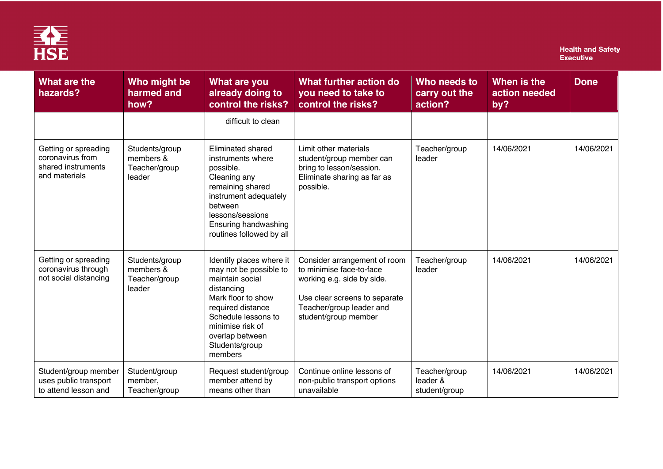

| What are the<br>hazards?                                                        | Who might be<br>harmed and<br>how?                     | What are you<br>already doing to<br>control the risks?                                                                                                                                                                    | What further action do<br>you need to take to<br>control the risks?                                                                                                         | Who needs to<br>carry out the<br>action?   | When is the<br>action needed<br>by? | <b>Done</b> |
|---------------------------------------------------------------------------------|--------------------------------------------------------|---------------------------------------------------------------------------------------------------------------------------------------------------------------------------------------------------------------------------|-----------------------------------------------------------------------------------------------------------------------------------------------------------------------------|--------------------------------------------|-------------------------------------|-------------|
|                                                                                 |                                                        | difficult to clean                                                                                                                                                                                                        |                                                                                                                                                                             |                                            |                                     |             |
| Getting or spreading<br>coronavirus from<br>shared instruments<br>and materials | Students/group<br>members &<br>Teacher/group<br>leader | Eliminated shared<br>instruments where<br>possible.<br>Cleaning any<br>remaining shared<br>instrument adequately<br>between<br>lessons/sessions<br>Ensuring handwashing<br>routines followed by all                       | Limit other materials<br>student/group member can<br>bring to lesson/session.<br>Eliminate sharing as far as<br>possible.                                                   | Teacher/group<br>leader                    | 14/06/2021                          | 14/06/2021  |
| Getting or spreading<br>coronavirus through<br>not social distancing            | Students/group<br>members &<br>Teacher/group<br>leader | Identify places where it<br>may not be possible to<br>maintain social<br>distancing<br>Mark floor to show<br>required distance<br>Schedule lessons to<br>minimise risk of<br>overlap between<br>Students/group<br>members | Consider arrangement of room<br>to minimise face-to-face<br>working e.g. side by side.<br>Use clear screens to separate<br>Teacher/group leader and<br>student/group member | Teacher/group<br>leader                    | 14/06/2021                          | 14/06/2021  |
| Student/group member<br>uses public transport<br>to attend lesson and           | Student/group<br>member,<br>Teacher/group              | Request student/group<br>member attend by<br>means other than                                                                                                                                                             | Continue online lessons of<br>non-public transport options<br>unavailable                                                                                                   | Teacher/group<br>leader &<br>student/group | 14/06/2021                          | 14/06/2021  |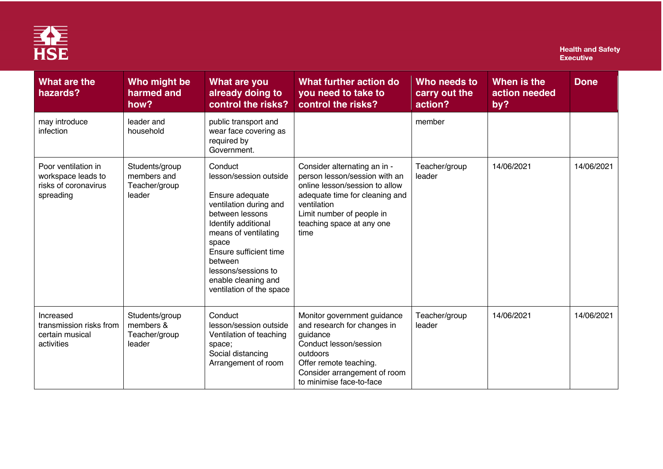

| What are the<br>hazards?                                                       | Who might be<br>harmed and<br>how?                       | What are you<br>already doing to<br>control the risks?                                                                                                                                                                                                                   | What further action do<br>you need to take to<br>control the risks?                                                                                                                                                | Who needs to<br>carry out the<br>action? | When is the<br>action needed<br>by? | <b>Done</b> |
|--------------------------------------------------------------------------------|----------------------------------------------------------|--------------------------------------------------------------------------------------------------------------------------------------------------------------------------------------------------------------------------------------------------------------------------|--------------------------------------------------------------------------------------------------------------------------------------------------------------------------------------------------------------------|------------------------------------------|-------------------------------------|-------------|
| may introduce<br>infection                                                     | leader and<br>household                                  | public transport and<br>wear face covering as<br>required by<br>Government.                                                                                                                                                                                              |                                                                                                                                                                                                                    | member                                   |                                     |             |
| Poor ventilation in<br>workspace leads to<br>risks of coronavirus<br>spreading | Students/group<br>members and<br>Teacher/group<br>leader | Conduct<br>lesson/session outside<br>Ensure adequate<br>ventilation during and<br>between lessons<br>Identify additional<br>means of ventilating<br>space<br>Ensure sufficient time<br>between<br>lessons/sessions to<br>enable cleaning and<br>ventilation of the space | Consider alternating an in -<br>person lesson/session with an<br>online lesson/session to allow<br>adequate time for cleaning and<br>ventilation<br>Limit number of people in<br>teaching space at any one<br>time | Teacher/group<br>leader                  | 14/06/2021                          | 14/06/2021  |
| Increased<br>transmission risks from<br>certain musical<br>activities          | Students/group<br>members &<br>Teacher/group<br>leader   | Conduct<br>lesson/session outside<br>Ventilation of teaching<br>space;<br>Social distancing<br>Arrangement of room                                                                                                                                                       | Monitor government guidance<br>and research for changes in<br>guidance<br>Conduct lesson/session<br>outdoors<br>Offer remote teaching.<br>Consider arrangement of room<br>to minimise face-to-face                 | Teacher/group<br>leader                  | 14/06/2021                          | 14/06/2021  |